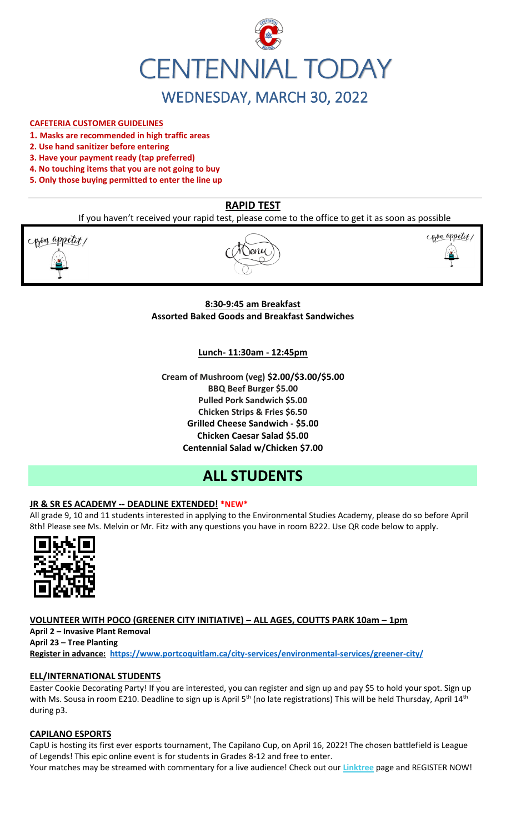

#### **CAFETERIA CUSTOMER GUIDELINES**

- **1. Masks are recommended in high traffic areas**
- **2. Use hand sanitizer before entering**
- **3. Have your payment ready (tap preferred)**
- **4. No touching items that you are not going to buy**
- **5. Only those buying permitted to enter the line up**

# **RAPID TEST**

If you haven't received your rapid test, please come to the office to get it as soon as possible

pon appetit!





### **8:30-9:45 am Breakfast Assorted Baked Goods and Breakfast Sandwiches**

#### **Lunch- 11:30am - 12:45pm**

**Cream of Mushroom (veg) \$2.00/\$3.00/\$5.00 BBQ Beef Burger \$5.00 Pulled Pork Sandwich \$5.00 Chicken Strips & Fries \$6.50 Grilled Cheese Sandwich - \$5.00 Chicken Caesar Salad \$5.00 Centennial Salad w/Chicken \$7.00**

# **ALL STUDENTS**

#### **JR & SR ES ACADEMY -- DEADLINE EXTENDED! \*NEW\***

All grade 9, 10 and 11 students interested in applying to the Environmental Studies Academy, please do so before April 8th! Please see Ms. Melvin or Mr. Fitz with any questions you have in room B222. Use QR code below to apply.



### **VOLUNTEER WITH POCO (GREENER CITY INITIATIVE) – ALL AGES, COUTTS PARK 10am – 1pm**

**April 2 – Invasive Plant Removal April 23 – Tree Planting Register in advance: <https://www.portcoquitlam.ca/city-services/environmental-services/greener-city/>**

#### **ELL/INTERNATIONAL STUDENTS**

Easter Cookie Decorating Party! If you are interested, you can register and sign up and pay \$5 to hold your spot. Sign up with Ms. Sousa in room E210. Deadline to sign up is April  $5<sup>th</sup>$  (no late registrations) This will be held Thursday, April 14<sup>th</sup> during p3.

#### **CAPILANO ESPORTS**

CapU is hosting its first ever esports tournament, The Capilano Cup, on April 16, 2022! The chosen battlefield is League of Legends! This epic online event is for students in Grades 8-12 and free to enter. Your matches may be streamed with commentary for a live audience! Check out our **[Linktree](https://r20.rs6.net/tn.jsp?f=001TV5t6hvFEFpmqZ2KIJsRm_8_tZvmBTskK5EZhuhAwnd-AsBblXHT0oLCkv240W_X6yn70vNSoZMhpHydzQFokmFJte1QihkOmWyHEEdpefQQkF2m95hL64lqlrIm0DP1OmyM7kg-aupFxN5c0Zflag==&c=xWxYCxrh0jI56wNEyWlUltDjoDxbuS7cAkcm-CGdbhXD_wkXysw4wQ==&ch=hXVfGtAgW-ZP40ONb-DXcfozpnjfYR8-9naNHp1boINpgvZcTLJVsw==)** page and REGISTER NOW!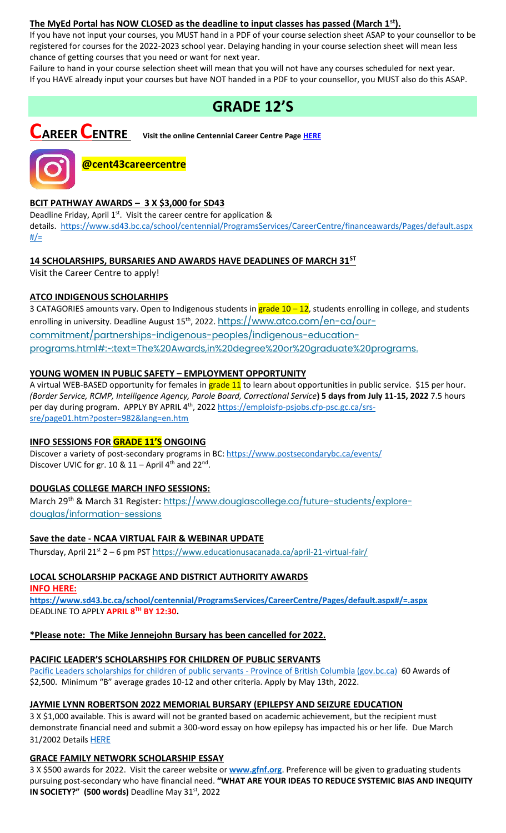#### **The MyEd Portal has NOW CLOSED as the deadline to input classes has passed (March 1st).**

If you have not input your courses, you MUST hand in a PDF of your course selection sheet ASAP to your counsellor to be registered for courses for the 2022-2023 school year. Delaying handing in your course selection sheet will mean less chance of getting courses that you need or want for next year.

Failure to hand in your course selection sheet will mean that you will not have any courses scheduled for next year. If you HAVE already input your courses but have NOT handed in a PDF to your counsellor, you MUST also do this ASAP.

# **GRADE 12'S**

**CAREER CENTRE Visit the online Centennial Career Centre Page [HERE](https://www.sd43.bc.ca/school/centennial/ProgramsServices/CareerCentre/experiences/Pages/default.aspx#/=)**



# **@cent43careercentre**

### **BCIT PATHWAY AWARDS – 3 X \$3,000 for SD43**

Deadline Friday, April 1<sup>st</sup>. Visit the career centre for application & details. [https://www.sd43.bc.ca/school/centennial/ProgramsServices/CareerCentre/financeawards/Pages/default.aspx](https://www.sd43.bc.ca/school/centennial/ProgramsServices/CareerCentre/financeawards/Pages/default.aspx#/=)  $#/=$ 

# **14 SCHOLARSHIPS, BURSARIES AND AWARDS HAVE DEADLINES OF MARCH 31ST**

Visit the Career Centre to apply!

### **ATCO INDIGENOUS SCHOLARHIPS**

3 CATAGORIES amounts vary. Open to Indigenous students in grade 10 - 12, students enrolling in college, and students enrolling in university. Deadline August 15<sup>th</sup>, 2022. <u>https://www.atco.com/en-ca/our-</u> [commitment/partnerships-indigenous-peoples/indigenous-education](https://www.atco.com/en-ca/our-commitment/partnerships-indigenous-peoples/indigenous-education-programs.html#:~:text=The%20Awards,in%20degree%20or%20graduate%20programs.)[programs.html#:~:text=The%20Awards,in%20degree%20or%20graduate%20programs.](https://www.atco.com/en-ca/our-commitment/partnerships-indigenous-peoples/indigenous-education-programs.html#:~:text=The%20Awards,in%20degree%20or%20graduate%20programs.)

### **YOUNG WOMEN IN PUBLIC SAFETY – EMPLOYMENT OPPORTUNITY**

A virtual WEB-BASED opportunity for females in **grade 11** to learn about opportunities in public service. \$15 per hour. *(Border Service, RCMP, Intelligence Agency, Parole Board, Correctional Service***) 5 days from July 11-15, 2022** 7.5 hours per day during program. APPLY BY APRIL 4<sup>th</sup>, 2022 [https://emploisfp-psjobs.cfp-psc.gc.ca/srs](https://emploisfp-psjobs.cfp-psc.gc.ca/srs-sre/page01.htm?poster=982&lang=en)[sre/page01.htm?poster=982&lang=en.htm](https://emploisfp-psjobs.cfp-psc.gc.ca/srs-sre/page01.htm?poster=982&lang=en)

#### **INFO SESSIONS FOR GRADE 11'S ONGOING**

Discover a variety of post-secondary programs in BC:<https://www.postsecondarybc.ca/events/> Discover UVIC for gr.  $10 & 11 -$  April 4<sup>th</sup> and  $22<sup>nd</sup>$ .

#### **DOUGLAS COLLEGE MARCH INFO SESSIONS:**

March 29<sup>th</sup> & March 31 Register: [https://www.douglascollege.ca/future-students/explore](https://www.douglascollege.ca/future-students/explore-douglas/information-sessions)[douglas/information-sessions](https://www.douglascollege.ca/future-students/explore-douglas/information-sessions)

#### **Save the date - NCAA VIRTUAL FAIR & WEBINAR UPDATE**

Thursday, April 21<sup>st</sup> 2 – 6 pm PST h[ttps://www.educationusacanada.ca/april-21-virtual-fair/](https://www.educationusacanada.ca/april-21-virtual-fair/)

# **LOCAL SCHOLARSHIP PACKAGE AND DISTRICT AUTHORITY AWARDS**

**INFO HERE:** 

**[https://www.sd43.bc.ca/school/centennial/ProgramsServices/CareerCentre/Pages/default.aspx#/=.aspx](https://www.sd43.bc.ca/school/centennial/ProgramsServices/CareerCentre/Pages/default.aspx#/=)** DEADLINE TO APPLY **APRIL 8TH BY 12:30.**

#### **\*Please note: The Mike Jennejohn Bursary has been cancelled for 2022.**

#### **PACIFIC LEADER'S SCHOLARSHIPS FOR CHILDREN OF PUBLIC SERVANTS**

[Pacific Leaders scholarships for children of public servants -](https://www2.gov.bc.ca/gov/content/careers-myhr/all-employees/career-development/pacific-leaders/scholarships-for-children) Province of British Columbia (gov.bc.ca) 60 Awards of \$2,500. Minimum "B" average grades 10-12 and other criteria. Apply by May 13th, 2022.

#### **JAYMIE LYNN ROBERTSON 2022 MEMORIAL BURSARY (EPILEPSY AND SEIZURE EDUCATION**

3 X \$1,000 available. This is award will not be granted based on academic achievement, but the recipient must demonstrate financial need and submit a 300-word essay on how epilepsy has impacted his or her life. Due March 31/2002 Details [HERE](https://www.sd43.bc.ca/school/centennial/ProgramsServices/CareerCentre/financeawards/Pages/default.aspx#/=)

#### **GRACE FAMILY NETWORK SCHOLARSHIP ESSAY**

3 X \$500 awards for 2022. Visit the career website or **[www.gfnf.org](http://www.gfnf.org/)**. Preference will be given to graduating students pursuing post-secondary who have financial need. **"WHAT ARE YOUR IDEAS TO REDUCE SYSTEMIC BIAS AND INEQUITY IN SOCIETY?"** (500 words) Deadline May 31st, 2022